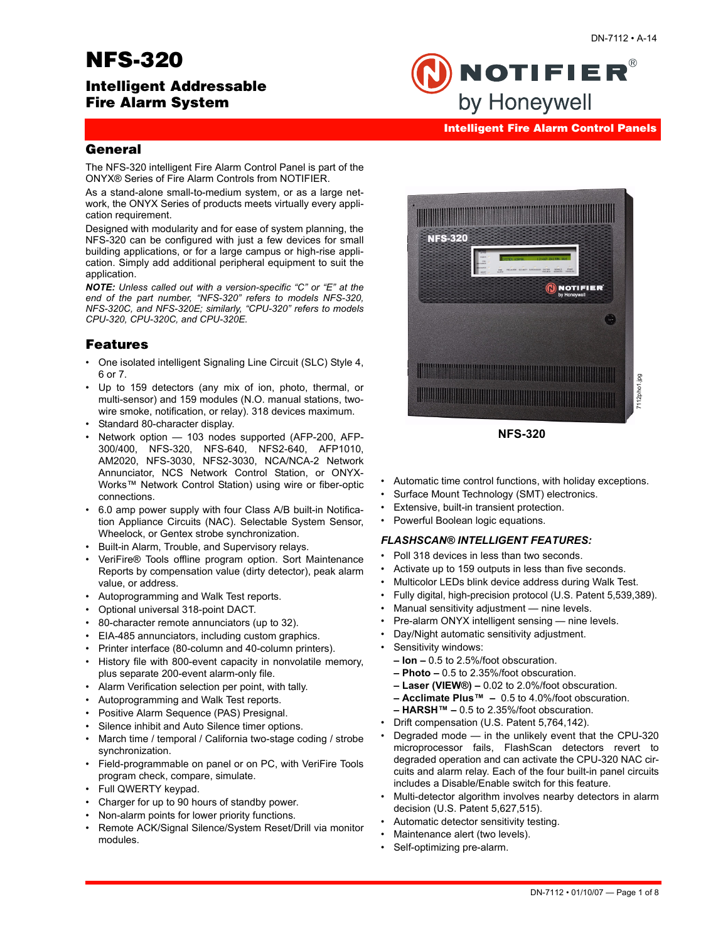# **NFS-320**

# **Intelligent Addressable Fire Alarm System**

#### **Intelligent Fire Alarm Control Panels**

**NOTIFIER®** 

by Honeywell

### **General**

The NFS-320 intelligent Fire Alarm Control Panel is part of the ONYX® Series of Fire Alarm Controls from NOTIFIER.

As a stand-alone small-to-medium system, or as a large network, the ONYX Series of products meets virtually every application requirement.

Designed with modularity and for ease of system planning, the NFS-320 can be configured with just a few devices for small building applications, or for a large campus or high-rise application. Simply add additional peripheral equipment to suit the application.

*NOTE: Unless called out with a version-specific "C" or "E" at the end of the part number, "NFS-320" refers to models NFS-320, NFS-320C, and NFS-320E; similarly, "CPU-320" refers to models CPU-320, CPU-320C, and CPU-320E.*

### **Features**

- One isolated intelligent Signaling Line Circuit (SLC) Style 4, 6 or 7.
- Up to 159 detectors (any mix of ion, photo, thermal, or multi-sensor) and 159 modules (N.O. manual stations, twowire smoke, notification, or relay). 318 devices maximum.
- Standard 80-character display.
- Network option 103 nodes supported (AFP-200, AFP-300/400, NFS-320, NFS-640, NFS2-640, AFP1010, AM2020, NFS-3030, NFS2-3030, NCA/NCA-2 Network Annunciator, NCS Network Control Station, or ONYX-Works™ Network Control Station) using wire or fiber-optic connections.
- 6.0 amp power supply with four Class A/B built-in Notification Appliance Circuits (NAC). Selectable System Sensor, Wheelock, or Gentex strobe synchronization.
- Built-in Alarm, Trouble, and Supervisory relays.
- VeriFire® Tools offline program option. Sort Maintenance Reports by compensation value (dirty detector), peak alarm value, or address.
- Autoprogramming and Walk Test reports.
- Optional universal 318-point DACT.
- 80-character remote annunciators (up to 32).
- EIA-485 annunciators, including custom graphics.
- Printer interface (80-column and 40-column printers).
- History file with 800-event capacity in nonvolatile memory, plus separate 200-event alarm-only file.
- Alarm Verification selection per point, with tally.
- Autoprogramming and Walk Test reports.
- Positive Alarm Sequence (PAS) Presignal.
- Silence inhibit and Auto Silence timer options.
- March time / temporal / California two-stage coding / strobe synchronization.
- Field-programmable on panel or on PC, with VeriFire Tools program check, compare, simulate.
- Full QWERTY keypad.
- Charger for up to 90 hours of standby power.
- Non-alarm points for lower priority functions.
- Remote ACK/Signal Silence/System Reset/Drill via monitor modules.



**NFS-320**

- Automatic time control functions, with holiday exceptions.
- Surface Mount Technology (SMT) electronics.
- Extensive, built-in transient protection.
- Powerful Boolean logic equations.

#### *FLASHSCAN® INTELLIGENT FEATURES:*

- Poll 318 devices in less than two seconds.
- Activate up to 159 outputs in less than five seconds.
- Multicolor LEDs blink device address during Walk Test.
- Fully digital, high-precision protocol (U.S. Patent 5,539,389).
- Manual sensitivity adjustment nine levels.
- Pre-alarm ONYX intelligent sensing nine levels.
- Day/Night automatic sensitivity adjustment.
- Sensitivity windows:
	- **Ion** 0.5 to 2.5%/foot obscuration.
	- **Photo** 0.5 to 2.35%/foot obscuration.
	- **Laser (VIEW®)** 0.02 to 2.0%/foot obscuration.
	- **Acclimate Plus™** 0.5 to 4.0%/foot obscuration.
	- **HARSH™** 0.5 to 2.35%/foot obscuration.
- Drift compensation (U.S. Patent 5,764,142).
- Degraded mode in the unlikely event that the CPU-320 microprocessor fails, FlashScan detectors revert to degraded operation and can activate the CPU-320 NAC circuits and alarm relay. Each of the four built-in panel circuits includes a Disable/Enable switch for this feature.
- Multi-detector algorithm involves nearby detectors in alarm decision (U.S. Patent 5,627,515).
- Automatic detector sensitivity testing.
- Maintenance alert (two levels).
- Self-optimizing pre-alarm.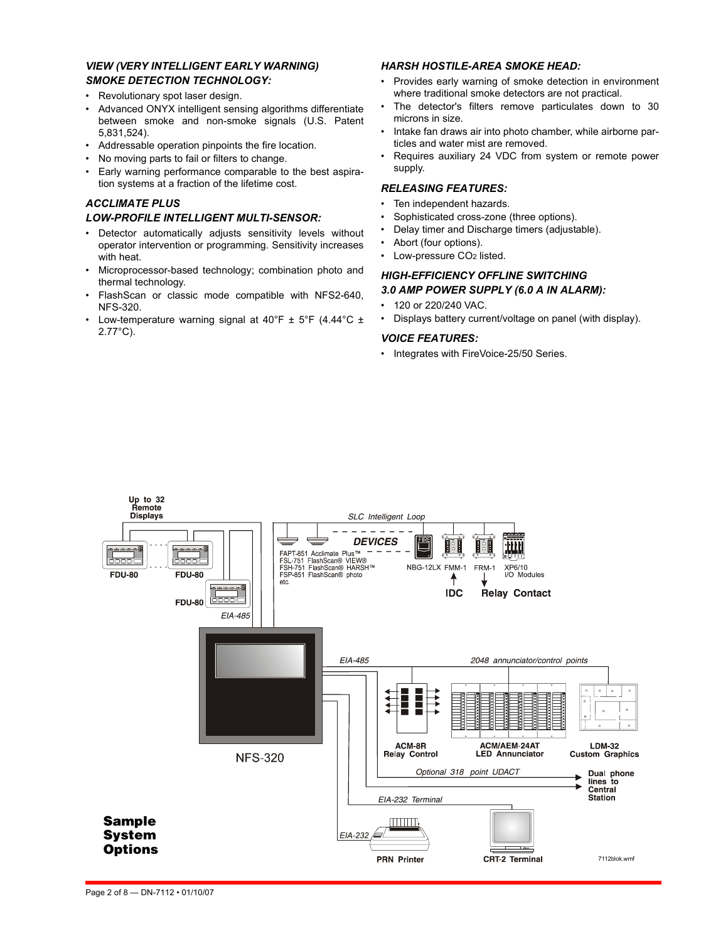#### *VIEW (VERY INTELLIGENT EARLY WARNING) SMOKE DETECTION TECHNOLOGY:*

- Revolutionary spot laser design.
- Advanced ONYX intelligent sensing algorithms differentiate between smoke and non-smoke signals (U.S. Patent 5,831,524).
- Addressable operation pinpoints the fire location.
- No moving parts to fail or filters to change.
- Early warning performance comparable to the best aspiration systems at a fraction of the lifetime cost.

### *ACCLIMATE PLUS*

#### *LOW-PROFILE INTELLIGENT MULTI-SENSOR:*

- Detector automatically adjusts sensitivity levels without operator intervention or programming. Sensitivity increases with heat.
- Microprocessor-based technology; combination photo and thermal technology.
- FlashScan or classic mode compatible with NFS2-640, NFS-320.
- Low-temperature warning signal at  $40^{\circ}$ F  $\pm$  5°F (4.44°C  $\pm$ 2.77°C).

### *HARSH HOSTILE-AREA SMOKE HEAD:*

- Provides early warning of smoke detection in environment where traditional smoke detectors are not practical.
- The detector's filters remove particulates down to 30 microns in size.
- Intake fan draws air into photo chamber, while airborne particles and water mist are removed.
- Requires auxiliary 24 VDC from system or remote power supply.

### *RELEASING FEATURES:*

- Ten independent hazards.
- Sophisticated cross-zone (three options).
- Delay timer and Discharge timers (adjustable).
- Abort (four options).
- Low-pressure CO<sub>2</sub> listed.

#### *HIGH-EFFICIENCY OFFLINE SWITCHING 3.0 AMP POWER SUPPLY (6.0 A IN ALARM):*

- 120 or 220/240 VAC.
- Displays battery current/voltage on panel (with display).

#### *VOICE FEATURES:*

• Integrates with FireVoice-25/50 Series.

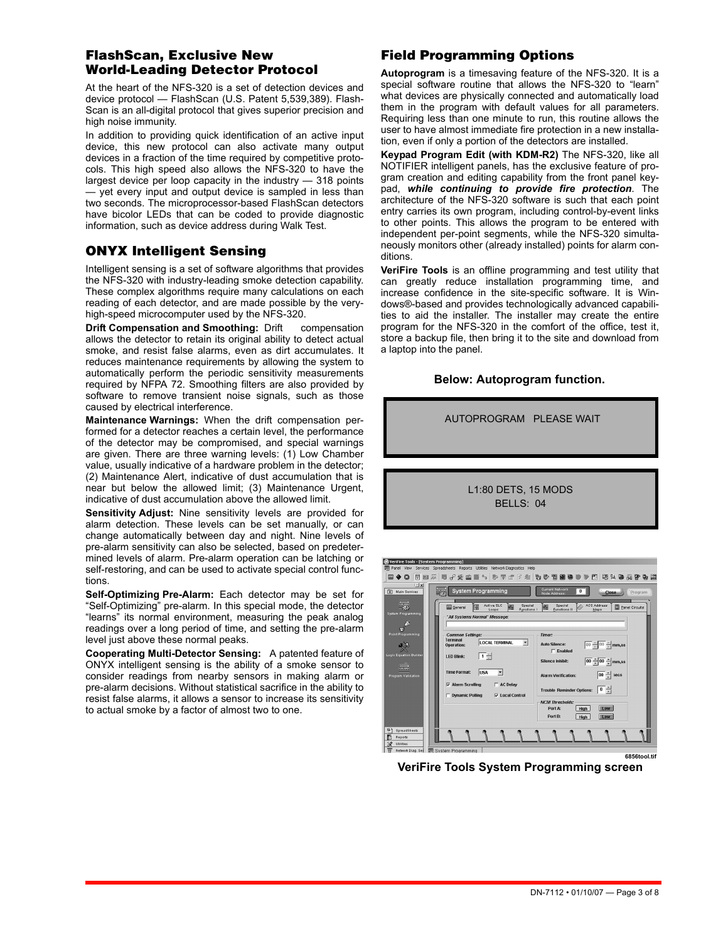### **FlashScan, Exclusive New World-Leading Detector Protocol**

At the heart of the NFS-320 is a set of detection devices and device protocol — FlashScan (U.S. Patent 5,539,389). Flash-Scan is an all-digital protocol that gives superior precision and high noise immunity.

In addition to providing quick identification of an active input device, this new protocol can also activate many output devices in a fraction of the time required by competitive protocols. This high speed also allows the NFS-320 to have the largest device per loop capacity in the industry — 318 points — yet every input and output device is sampled in less than two seconds. The microprocessor-based FlashScan detectors have bicolor LEDs that can be coded to provide diagnostic information, such as device address during Walk Test.

# **ONYX Intelligent Sensing**

Intelligent sensing is a set of software algorithms that provides the NFS-320 with industry-leading smoke detection capability. These complex algorithms require many calculations on each reading of each detector, and are made possible by the veryhigh-speed microcomputer used by the NFS-320.

**Drift Compensation and Smoothing:** Drift compensation allows the detector to retain its original ability to detect actual smoke, and resist false alarms, even as dirt accumulates. It reduces maintenance requirements by allowing the system to automatically perform the periodic sensitivity measurements required by NFPA 72. Smoothing filters are also provided by software to remove transient noise signals, such as those caused by electrical interference.

**Maintenance Warnings:** When the drift compensation performed for a detector reaches a certain level, the performance of the detector may be compromised, and special warnings are given. There are three warning levels: (1) Low Chamber value, usually indicative of a hardware problem in the detector; (2) Maintenance Alert, indicative of dust accumulation that is near but below the allowed limit; (3) Maintenance Urgent, indicative of dust accumulation above the allowed limit.

**Sensitivity Adjust:** Nine sensitivity levels are provided for alarm detection. These levels can be set manually, or can change automatically between day and night. Nine levels of pre-alarm sensitivity can also be selected, based on predetermined levels of alarm. Pre-alarm operation can be latching or self-restoring, and can be used to activate special control functions.

**Self-Optimizing Pre-Alarm:** Each detector may be set for "Self-Optimizing" pre-alarm. In this special mode, the detector "learns" its normal environment, measuring the peak analog readings over a long period of time, and setting the pre-alarm level just above these normal peaks.

**Cooperating Multi-Detector Sensing:** A patented feature of ONYX intelligent sensing is the ability of a smoke sensor to consider readings from nearby sensors in making alarm or pre-alarm decisions. Without statistical sacrifice in the ability to resist false alarms, it allows a sensor to increase its sensitivity to actual smoke by a factor of almost two to one.

# **Field Programming Options**

**Autoprogram** is a timesaving feature of the NFS-320. It is a special software routine that allows the NFS-320 to "learn" what devices are physically connected and automatically load them in the program with default values for all parameters. Requiring less than one minute to run, this routine allows the user to have almost immediate fire protection in a new installation, even if only a portion of the detectors are installed.

**Keypad Program Edit (with KDM-R2)** The NFS-320, like all NOTIFIER intelligent panels, has the exclusive feature of program creation and editing capability from the front panel keypad, *while continuing to provide fire protection*. The architecture of the NFS-320 software is such that each point entry carries its own program, including control-by-event links to other points. This allows the program to be entered with independent per-point segments, while the NFS-320 simultaneously monitors other (already installed) points for alarm conditions.

**VeriFire Tools** is an offline programming and test utility that can greatly reduce installation programming time, and increase confidence in the site-specific software. It is Windows®-based and provides technologically advanced capabilities to aid the installer. The installer may create the entire program for the NFS-320 in the comfort of the office, test it, store a backup file, then bring it to the site and download from a laptop into the panel.

### **Below: Autoprogram function.**



**VeriFire Tools System Programming screen**

 $\Gamma$  AC Delay

 $\overline{\smash{\triangledown}}$  Local Contro

Alarm Scrolling

**Dynamic Polling** 

er Options:  $\boxed{0}$   $\frac{2}{x}$ 

 $High$ Low

 $Hiah$ Low

Port B:

- T - T - T

**6856tool.tif**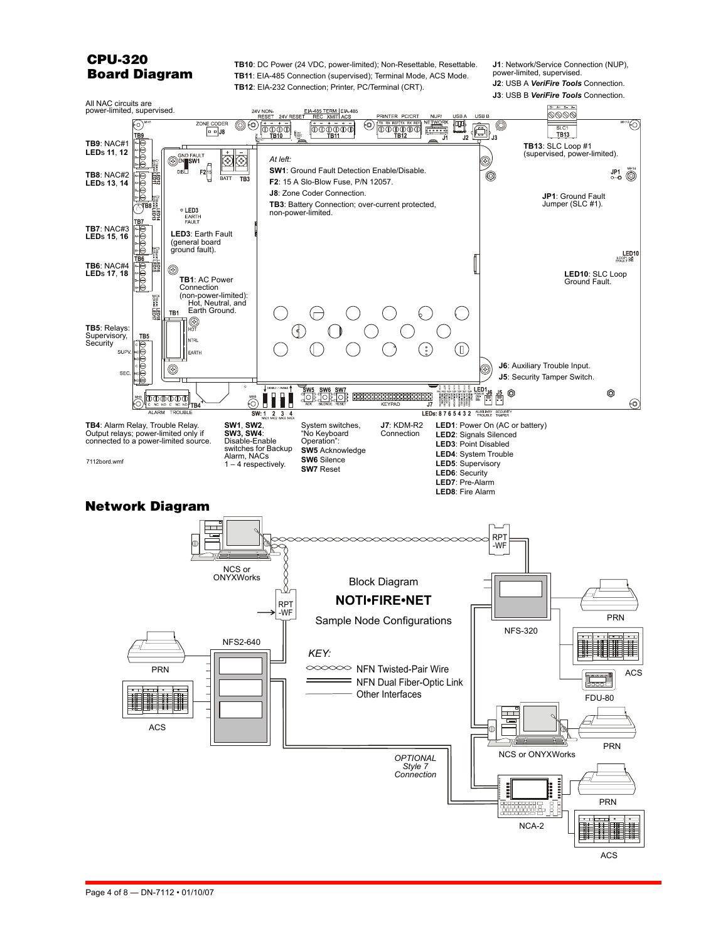# **CPU-320 Board Diagram**

**TB10**: DC Power (24 VDC, power-limited); Non-Resettable, Resettable. **TB11**: EIA-485 Connection (supervised); Terminal Mode, ACS Mode. **TB12**: EIA-232 Connection; Printer, PC/Terminal (CRT).

**J1**: Network/Service Connection (NUP), power-limited, supervised. **J2**: USB A *VeriFire Tools* Connection.

**J3**: USB B *VeriFire Tools* Connection.

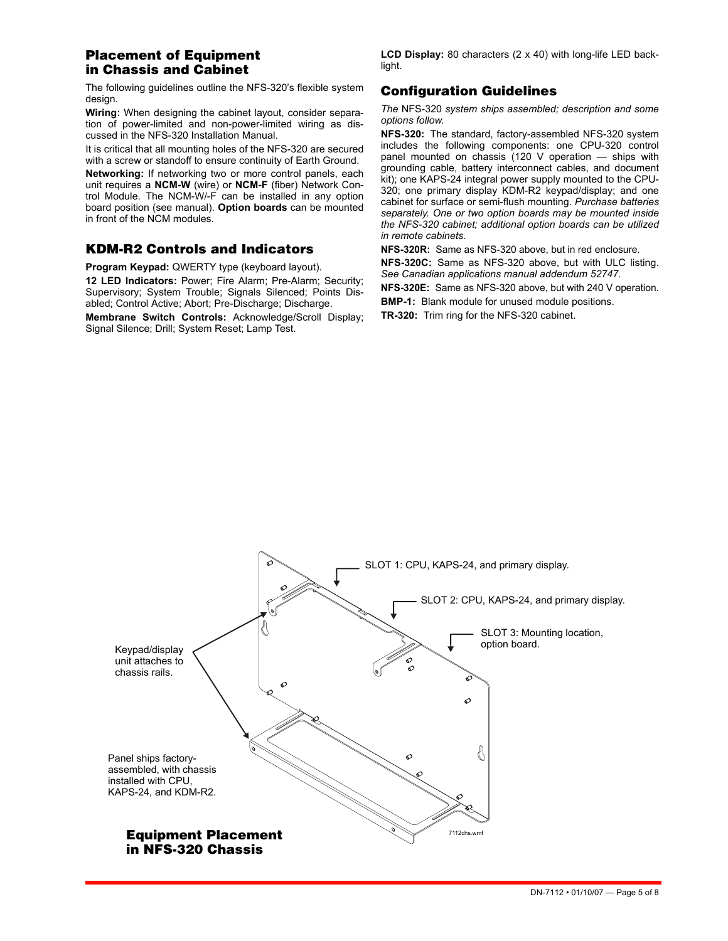# **Placement of Equipment in Chassis and Cabinet**

The following guidelines outline the NFS-320's flexible system design.

**Wiring:** When designing the cabinet layout, consider separation of power-limited and non-power-limited wiring as discussed in the NFS-320 Installation Manual.

It is critical that all mounting holes of the NFS-320 are secured with a screw or standoff to ensure continuity of Earth Ground.

**Networking:** If networking two or more control panels, each unit requires a **NCM-W** (wire) or **NCM-F** (fiber) Network Control Module. The NCM-W/-F can be installed in any option board position (see manual). **Option boards** can be mounted in front of the NCM modules.

### **KDM-R2 Controls and Indicators**

**Program Keypad:** QWERTY type (keyboard layout).

**12 LED Indicators:** Power; Fire Alarm; Pre-Alarm; Security; Supervisory; System Trouble; Signals Silenced; Points Disabled; Control Active; Abort; Pre-Discharge; Discharge.

**Membrane Switch Controls:** Acknowledge/Scroll Display; Signal Silence; Drill; System Reset; Lamp Test.

**LCD Display:** 80 characters (2 x 40) with long-life LED backlight.

# **Configuration Guidelines**

*The* NFS-320 *system ships assembled; description and some options follow.*

**NFS-320:** The standard, factory-assembled NFS-320 system includes the following components: one CPU-320 control panel mounted on chassis (120 V operation — ships with grounding cable, battery interconnect cables, and document kit); one KAPS-24 integral power supply mounted to the CPU-320; one primary display KDM-R2 keypad/display; and one cabinet for surface or semi-flush mounting. *Purchase batteries separately. One or two option boards may be mounted inside the NFS-320 cabinet; additional option boards can be utilized in remote cabinets.*

**NFS-320R:** Same as NFS-320 above, but in red enclosure. **NFS-320C:** Same as NFS-320 above, but with ULC listing. *See Canadian applications manual addendum 52747.*

**NFS-320E:** Same as NFS-320 above, but with 240 V operation.

**BMP-1:** Blank module for unused module positions.

**TR-320:** Trim ring for the NFS-320 cabinet.

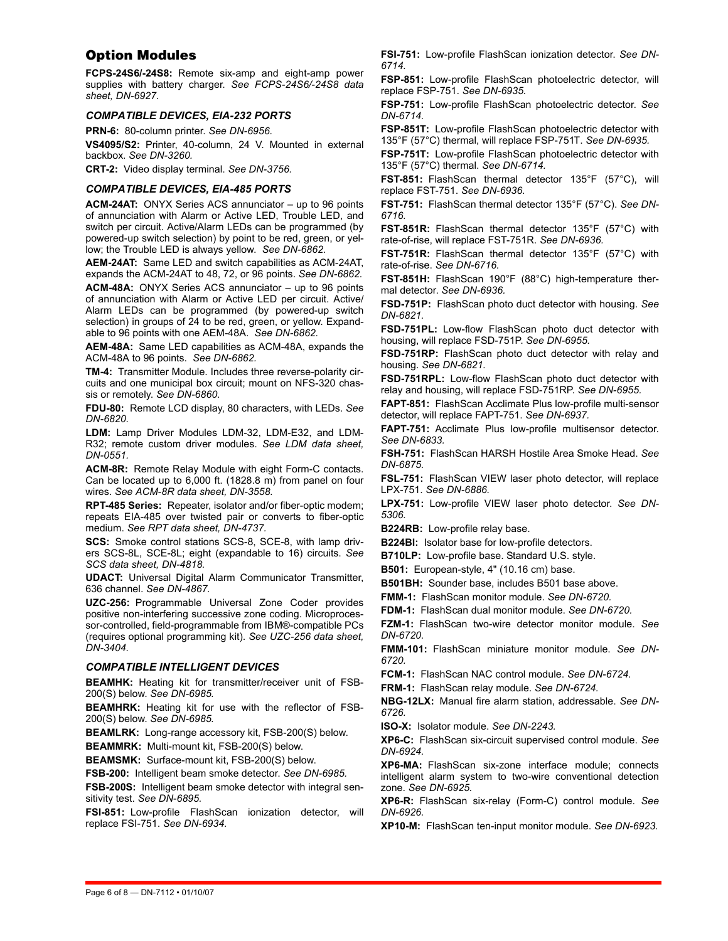### **Option Modules**

**FCPS-24S6/-24S8:** Remote six-amp and eight-amp power supplies with battery charger. *See FCPS-24S6/-24S8 data sheet, DN-6927.*

#### *COMPATIBLE DEVICES, EIA-232 PORTS*

**PRN-6:** 80-column printer. *See DN-6956.*

**VS4095/S2:** Printer, 40-column, 24 V. Mounted in external backbox. *See DN-3260.*

**CRT-2:** Video display terminal. *See DN-3756.*

#### *COMPATIBLE DEVICES, EIA-485 PORTS*

**ACM-24AT:** ONYX Series ACS annunciator – up to 96 points of annunciation with Alarm or Active LED, Trouble LED, and switch per circuit. Active/Alarm LEDs can be programmed (by powered-up switch selection) by point to be red, green, or yellow; the Trouble LED is always yellow. *See DN-6862.*

**AEM-24AT:** Same LED and switch capabilities as ACM-24AT, expands the ACM-24AT to 48, 72, or 96 points. *See DN-6862.*

**ACM-48A:** ONYX Series ACS annunciator – up to 96 points of annunciation with Alarm or Active LED per circuit. Active/ Alarm LEDs can be programmed (by powered-up switch selection) in groups of 24 to be red, green, or yellow. Expandable to 96 points with one AEM-48A. *See DN-6862.*

**AEM-48A:** Same LED capabilities as ACM-48A, expands the ACM-48A to 96 points. *See DN-6862.*

**TM-4:** Transmitter Module. Includes three reverse-polarity circuits and one municipal box circuit; mount on NFS-320 chassis or remotely. *See DN-6860.*

**FDU-80:** Remote LCD display, 80 characters, with LEDs. *See DN-6820.*

**LDM:** Lamp Driver Modules LDM-32, LDM-E32, and LDM-R32; remote custom driver modules. *See LDM data sheet, DN-0551.*

**ACM-8R:** Remote Relay Module with eight Form-C contacts. Can be located up to 6,000 ft. (1828.8 m) from panel on four wires. *See ACM-8R data sheet, DN-3558.*

**RPT-485 Series:** Repeater, isolator and/or fiber-optic modem; repeats EIA-485 over twisted pair or converts to fiber-optic medium. *See RPT data sheet, DN-4737.*

**SCS:** Smoke control stations SCS-8, SCE-8, with lamp drivers SCS-8L, SCE-8L; eight (expandable to 16) circuits. *See SCS data sheet, DN-4818.*

**UDACT:** Universal Digital Alarm Communicator Transmitter, 636 channel. *See DN-4867.*

**UZC-256:** Programmable Universal Zone Coder provides positive non-interfering successive zone coding. Microprocessor-controlled, field-programmable from IBM®-compatible PCs (requires optional programming kit). *See UZC-256 data sheet, DN-3404.*

#### *COMPATIBLE INTELLIGENT DEVICES*

**BEAMHK:** Heating kit for transmitter/receiver unit of FSB-200(S) below. *See DN-6985.*

**BEAMHRK:** Heating kit for use with the reflector of FSB-200(S) below. *See DN-6985.*

**BEAMLRK:** Long-range accessory kit, FSB-200(S) below.

**BEAMMRK:** Multi-mount kit, FSB-200(S) below.

**BEAMSMK:** Surface-mount kit, FSB-200(S) below.

**FSB-200:** Intelligent beam smoke detector. *See DN-6985.*

**FSB-200S:** Intelligent beam smoke detector with integral sensitivity test. *See DN-6895.*

**FSI-851:** Low-profile FlashScan ionization detector, will replace FSI-751. *See DN-6934.*

**FSI-751:** Low-profile FlashScan ionization detector. *See DN-6714.*

**FSP-851:** Low-profile FlashScan photoelectric detector, will replace FSP-751. *See DN-6935.*

**FSP-751:** Low-profile FlashScan photoelectric detector. *See DN-6714.*

**FSP-851T:** Low-profile FlashScan photoelectric detector with 135°F (57°C) thermal, will replace FSP-751T. *See DN-6935.*

**FSP-751T:** Low-profile FlashScan photoelectric detector with 135°F (57°C) thermal. *See DN-6714.*

**FST-851:** FlashScan thermal detector 135°F (57°C), will replace FST-751. *See DN-6936.*

**FST-751:** FlashScan thermal detector 135°F (57°C). *See DN-6716.*

**FST-851R:** FlashScan thermal detector 135°F (57°C) with rate-of-rise, will replace FST-751R. *See DN-6936.*

**FST-751R:** FlashScan thermal detector 135°F (57°C) with rate-of-rise. *See DN-6716.*

**FST-851H:** FlashScan 190°F (88°C) high-temperature thermal detector. *See DN-6936.*

**FSD-751P:** FlashScan photo duct detector with housing. *See DN-6821.*

**FSD-751PL:** Low-flow FlashScan photo duct detector with housing, will replace FSD-751P. *See DN-6955.*

**FSD-751RP:** FlashScan photo duct detector with relay and housing. *See DN-6821.*

**FSD-751RPL:** Low-flow FlashScan photo duct detector with relay and housing, will replace FSD-751RP. *See DN-6955.*

**FAPT-851:** FlashScan Acclimate Plus low-profile multi-sensor detector, will replace FAPT-751. *See DN-6937.*

**FAPT-751:** Acclimate Plus low-profile multisensor detector. *See DN-6833.*

**FSH-751:** FlashScan HARSH Hostile Area Smoke Head. *See DN-6875.*

**FSL-751:** FlashScan VIEW laser photo detector, will replace LPX-751. *See DN-6886.*

**LPX-751:** Low-profile VIEW laser photo detector. *See DN-5306.*

**B224RB:** Low-profile relay base.

**B224BI:** Isolator base for low-profile detectors.

**B710LP:** Low-profile base. Standard U.S. style.

**B501:** European-style, 4" (10.16 cm) base.

**B501BH:** Sounder base, includes B501 base above.

**FMM-1:** FlashScan monitor module. *See DN-6720.*

**FDM-1:** FlashScan dual monitor module. *See DN-6720.*

**FZM-1:** FlashScan two-wire detector monitor module. *See DN-6720.*

**FMM-101:** FlashScan miniature monitor module. *See DN-6720.*

**FCM-1:** FlashScan NAC control module. *See DN-6724.*

**FRM-1:** FlashScan relay module. *See DN-6724.*

**NBG-12LX:** Manual fire alarm station, addressable. *See DN-6726.*

**ISO-X:** Isolator module. *See DN-2243.*

**XP6-C:** FlashScan six-circuit supervised control module. *See DN-6924.*

**XP6-MA:** FlashScan six-zone interface module; connects intelligent alarm system to two-wire conventional detection zone. *See DN-6925.*

**XP6-R:** FlashScan six-relay (Form-C) control module. *See DN-6926.*

**XP10-M:** FlashScan ten-input monitor module. *See DN-6923.*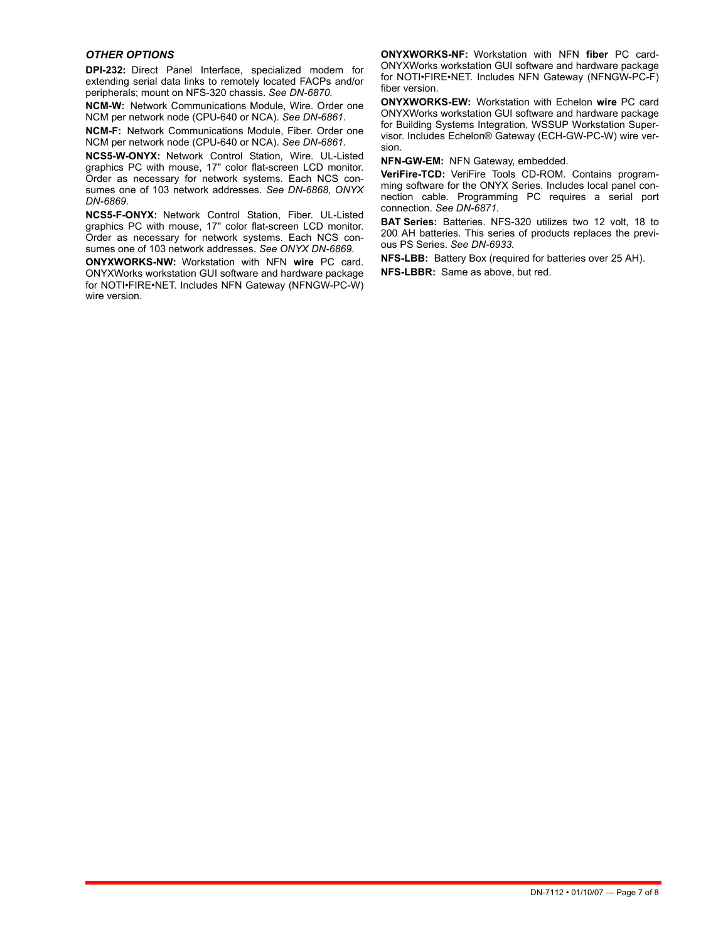#### *OTHER OPTIONS*

**DPI-232:** Direct Panel Interface, specialized modem for extending serial data links to remotely located FACPs and/or peripherals; mount on NFS-320 chassis. *See DN-6870.*

**NCM-W:** Network Communications Module, Wire. Order one NCM per network node (CPU-640 or NCA). *See DN-6861.*

**NCM-F:** Network Communications Module, Fiber. Order one NCM per network node (CPU-640 or NCA). *See DN-6861.*

**NCS5-W-ONYX:** Network Control Station, Wire. UL-Listed graphics PC with mouse, 17" color flat-screen LCD monitor. Order as necessary for network systems. Each NCS consumes one of 103 network addresses. *See DN-6868, ONYX DN-6869.*

**NCS5-F-ONYX:** Network Control Station, Fiber. UL-Listed graphics PC with mouse, 17" color flat-screen LCD monitor. Order as necessary for network systems. Each NCS consumes one of 103 network addresses. *See ONYX DN-6869.*

**ONYXWORKS-NW:** Workstation with NFN **wire** PC card. ONYXWorks workstation GUI software and hardware package for NOTI•FIRE•NET. Includes NFN Gateway (NFNGW-PC-W) wire version

**ONYXWORKS-NF:** Workstation with NFN **fiber** PC card-ONYXWorks workstation GUI software and hardware package for NOTI•FIRE•NET. Includes NFN Gateway (NFNGW-PC-F) fiber version.

**ONYXWORKS-EW:** Workstation with Echelon **wire** PC card ONYXWorks workstation GUI software and hardware package for Building Systems Integration, WSSUP Workstation Supervisor. Includes Echelon® Gateway (ECH-GW-PC-W) wire version.

**NFN-GW-EM:** NFN Gateway, embedded.

**VeriFire-TCD:** VeriFire Tools CD-ROM. Contains programming software for the ONYX Series. Includes local panel connection cable. Programming PC requires a serial port connection. *See DN-6871.*

**BAT Series:** Batteries. NFS-320 utilizes two 12 volt, 18 to 200 AH batteries. This series of products replaces the previous PS Series. *See DN-6933.*

**NFS-LBB:** Battery Box (required for batteries over 25 AH). **NFS-LBBR:** Same as above, but red.